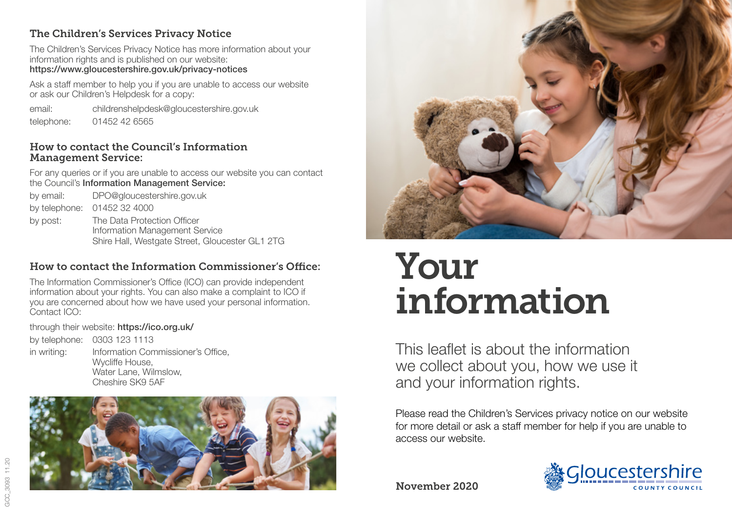## The Children's Services Privacy Notice

The Children's Services Privacy Notice has more information about your information rights and is published on our website: https://www.gloucestershire.gov.uk/privacy-notices

Ask a staff member to help you if you are unable to access our website or ask our Children's Helpdesk for a copy:

email: childrenshelpdesk@gloucestershire.gov.uk telephone: 01452 42 6565

#### How to contact the Council's Information Management Service:

For any queries or if you are unable to access our website you can contact the Council's Information Management Service:

by email: DPO@gloucestershire.gov.uk by telephone: 01452 32 4000 by post: The Data Protection Officer Information Management Service Shire Hall, Westgate Street, Gloucester GL1 2TG

# How to contact the Information Commissioner's Office:

The Information Commissioner's Office (ICO) can provide independent information about your rights. You can also make a complaint to ICO if you are concerned about how we have used your personal information. Contact ICO:

## through their website: https://ico.org.uk/

by telephone: 0303 123 1113 in writing: Information Commissioner's Office, Wycliffe House, Water Lane, Wilmslow, Cheshire SK9 5AF





# Your information

This leaflet is about the information we collect about you, how we use it and your information rights.

Please read the Children's Services privacy notice on our website for more detail or ask a staff member for help if you are unable to access our website.

November 2020



GCC 3093 11.20 GCC\_3093 11.20